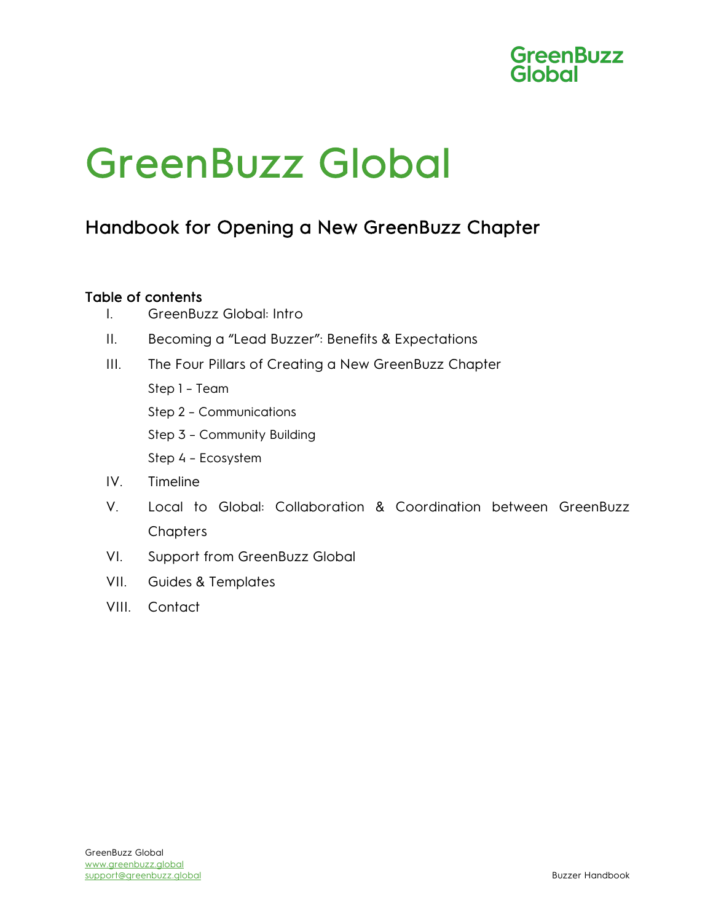

### Handbook for Opening a New GreenBuzz Chapter

#### Table of contents

- I. GreenBuzz Global: Intro
- II. Becoming a "Lead Buzzer": Benefits & Expectations
- III. The Four Pillars of Creating a New GreenBuzz Chapter
	- Step 1 Team
	- Step 2 Communications
	- Step 3 Community Building
	- Step 4 Ecosystem
- IV. Timeline
- V. Local to Global: Collaboration & Coordination between GreenBuzz **Chapters**
- VI. Support from GreenBuzz Global
- VII. Guides & Templates
- VIII. Contact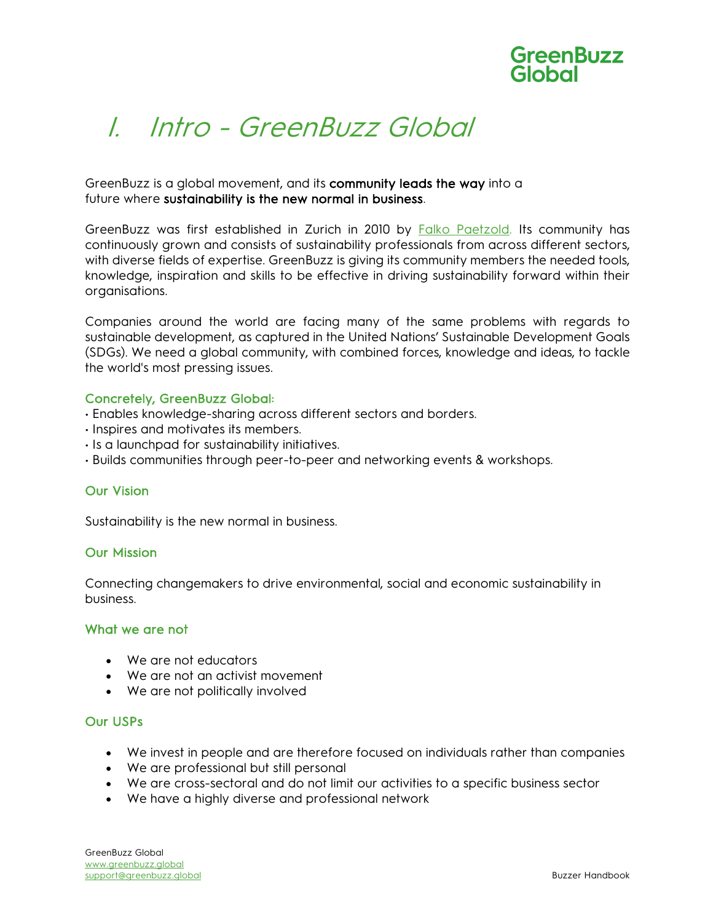

## I. Intro - GreenBuzz Global

#### GreenBuzz is a global movement, and its **community leads the way** into a future where sustainability is the new normal in business.

GreenBuzz was first established in Zurich in 2010 by **Falko Paetzold**. Its community has continuously grown and consists of sustainability professionals from across different sectors, with diverse fields of expertise. GreenBuzz is giving its community members the needed tools, knowledge, inspiration and skills to be effective in driving sustainability forward within their organisations.

Companies around the world are facing many of the same problems with regards to sustainable development, as captured in the United Nations' Sustainable Development Goals (SDGs). We need a global community, with combined forces, knowledge and ideas, to tackle the world's most pressing issues.

#### Concretely, GreenBuzz Global:

- Enables knowledge-sharing across different sectors and borders.
- Inspires and motivates its members.
- Is a launchpad for sustainability initiatives.
- Builds communities through peer-to-peer and networking events & workshops.

#### Our Vision

Sustainability is the new normal in business.

#### Our Mission

Connecting changemakers to drive environmental, social and economic sustainability in business.

#### What we are not

- We are not educators
- We are not an activist movement
- We are not politically involved

#### Our USPs

- We invest in people and are therefore focused on individuals rather than companies
- We are professional but still personal
- We are cross-sectoral and do not limit our activities to a specific business sector
- We have a highly diverse and professional network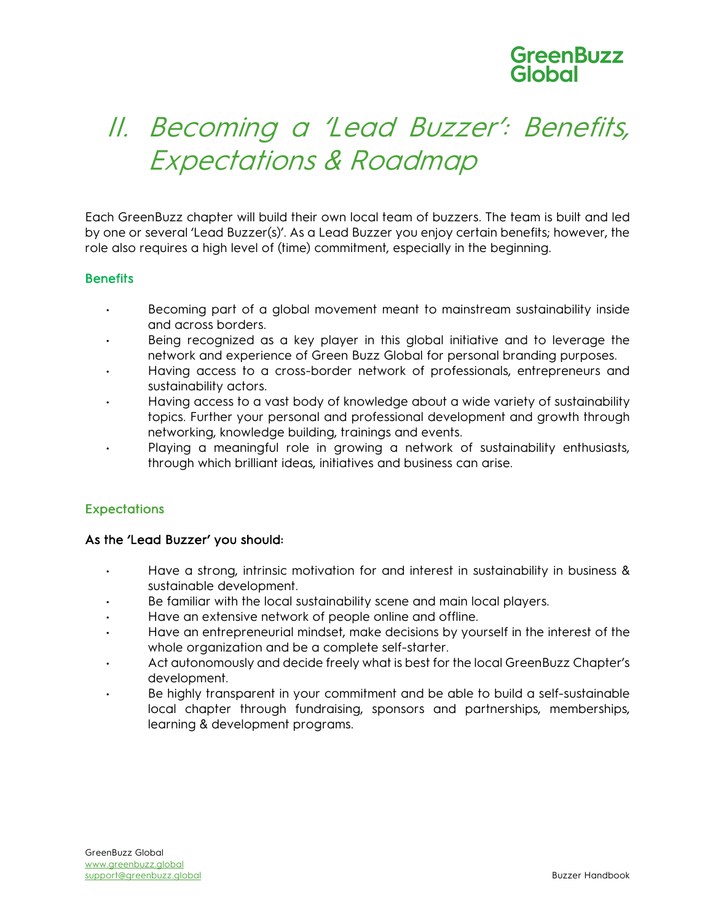## II. Becoming a 'Lead Buzzer': Benefits, Expectations & Roadmap

Each GreenBuzz chapter will build their own local team of buzzers. The team is built and led by one or several 'Lead Buzzer(s)'. As a Lead Buzzer you enjoy certain benefits; however, the role also requires a high level of (time) commitment, especially in the beginning.

#### **Benefits**

- Becoming part of a global movement meant to mainstream sustainability inside and across borders.
- Being recognized as a key player in this global initiative and to leverage the network and experience of Green Buzz Global for personal branding purposes.
- Having access to a cross-border network of professionals, entrepreneurs and sustainability actors.
- Having access to a vast body of knowledge about a wide variety of sustainability topics. Further your personal and professional development and growth through networking, knowledge building, trainings and events.
- Playing a meaningful role in growing a network of sustainability enthusiasts, through which brilliant ideas, initiatives and business can arise.

#### **Expectations**

#### As the 'Lead Buzzer' you should:

- Have a strong, intrinsic motivation for and interest in sustainability in business & sustainable development.
- Be familiar with the local sustainability scene and main local players.
- Have an extensive network of people online and offline.
- Have an entrepreneurial mindset, make decisions by yourself in the interest of the whole organization and be a complete self-starter.
- Act autonomously and decide freely what is best for the local GreenBuzz Chapter's development.
- Be highly transparent in your commitment and be able to build a self-sustainable local chapter through fundraising, sponsors and partnerships, memberships, learning & development programs.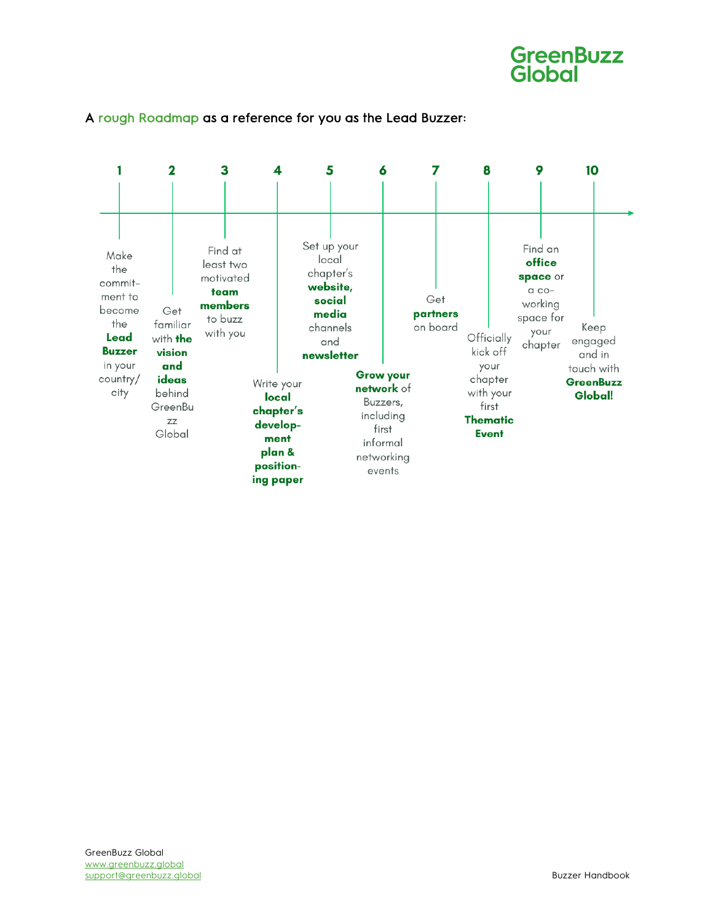



#### A rough Roadmap as a reference for you as the Lead Buzzer: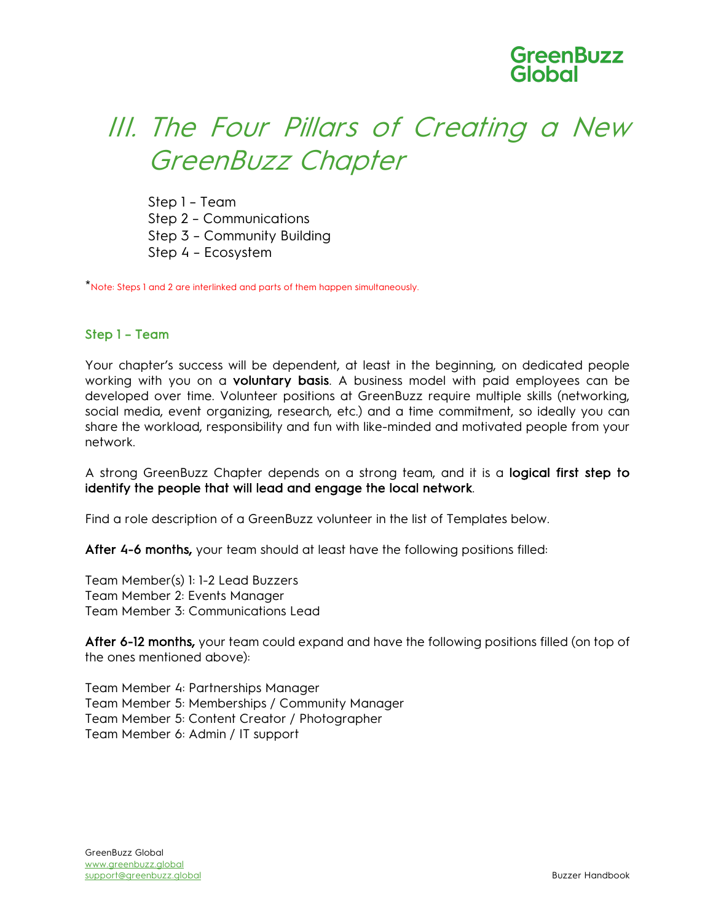## III. The Four Pillars of Creating a New GreenBuzz Chapter

Step 1 – Team Step 2 – Communications Step 3 – Community Building Step 4 – Ecosystem

\*Note: Steps 1 and 2 are interlinked and parts of them happen simultaneously.

#### Step 1 – Team

Your chapter's success will be dependent, at least in the beginning, on dedicated people working with you on a voluntary basis. A business model with paid employees can be developed over time. Volunteer positions at GreenBuzz require multiple skills (networking, social media, event organizing, research, etc.) and a time commitment, so ideally you can share the workload, responsibility and fun with like-minded and motivated people from your network.

A strong GreenBuzz Chapter depends on a strong team, and it is a logical first step to identify the people that will lead and engage the local network.

Find a role description of a GreenBuzz volunteer in the list of Templates below.

After 4-6 months, your team should at least have the following positions filled:

Team Member(s) 1: 1-2 Lead Buzzers Team Member 2: Events Manager Team Member 3: Communications Lead

After 6-12 months, your team could expand and have the following positions filled (on top of the ones mentioned above):

Team Member 4: Partnerships Manager Team Member 5: Memberships / Community Manager Team Member 5: Content Creator / Photographer Team Member 6: Admin / IT support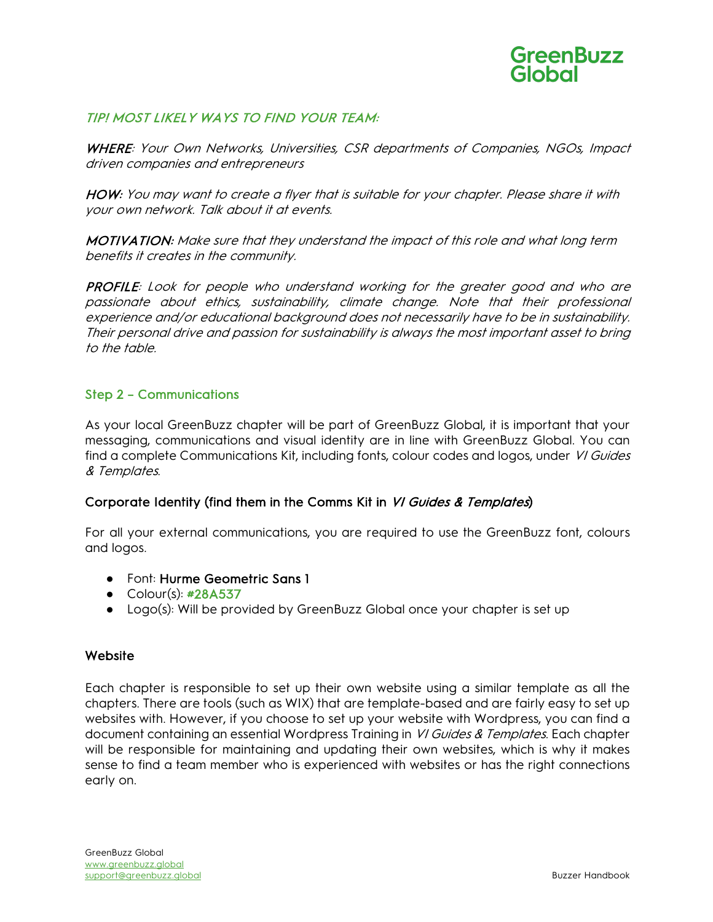

#### TIP! MOST LIKELY WAYS TO FIND YOUR TEAM:

WHERE: Your Own Networks, Universities, CSR departments of Companies, NGOs, Impact driven companies and entrepreneurs

HOW: You may want to create a flyer that is suitable for your chapter. Please share it with your own network. Talk about it at events.

MOTIVATION: Make sure that they understand the impact of this role and what long term benefits it creates in the community.

PROFILE: Look for people who understand working for the greater good and who are passionate about ethics, sustainability, climate change. Note that their professional experience and/or educational background does not necessarily have to be in sustainability. Their personal drive and passion for sustainability is always the most important asset to bring to the table.

#### Step 2 – Communications

As your local GreenBuzz chapter will be part of GreenBuzz Global, it is important that your messaging, communications and visual identity are in line with GreenBuzz Global. You can find a complete Communications Kit, including fonts, colour codes and logos, under VI Guides & Templates.

#### Corporate Identity (find them in the Comms Kit in VI Guides & Templates)

For all your external communications, you are required to use the GreenBuzz font, colours and logos.

- Font: Hurme Geometric Sans 1
- Colour(s): #28A537
- Logo(s): Will be provided by GreenBuzz Global once your chapter is set up

#### **Website**

Each chapter is responsible to set up their own website using a similar template as all the chapters. There are tools (such as WIX) that are template-based and are fairly easy to set up websites with. However, if you choose to set up your website with Wordpress, you can find a document containing an essential Wordpress Training in VI Guides & Templates. Each chapter will be responsible for maintaining and updating their own websites, which is why it makes sense to find a team member who is experienced with websites or has the right connections early on.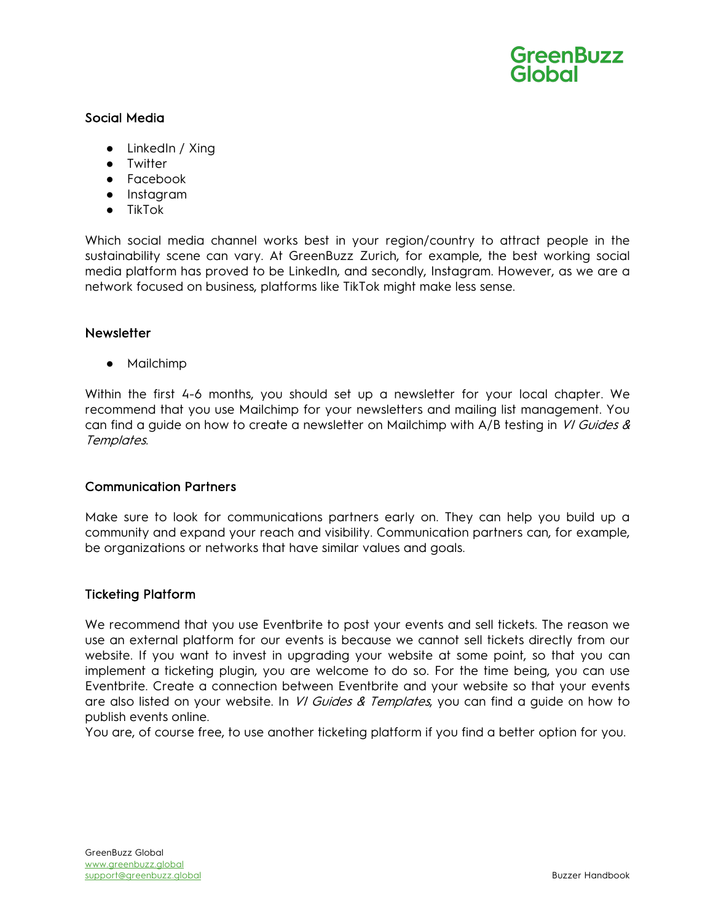

#### Social Media

- LinkedIn / Xing
- Twitter
- Facebook
- Instagram
- TikTok

Which social media channel works best in your region/country to attract people in the sustainability scene can vary. At GreenBuzz Zurich, for example, the best working social media platform has proved to be LinkedIn, and secondly, Instagram. However, as we are a network focused on business, platforms like TikTok might make less sense.

#### **Newsletter**

● Mailchimp

Within the first 4-6 months, you should set up a newsletter for your local chapter. We recommend that you use Mailchimp for your newsletters and mailing list management. You can find a guide on how to create a newsletter on Mailchimp with  $A/B$  testing in VI Guides & Templates.

#### Communication Partners

Make sure to look for communications partners early on. They can help you build up a community and expand your reach and visibility. Communication partners can, for example, be organizations or networks that have similar values and goals.

#### Ticketing Platform

We recommend that you use Eventbrite to post your events and sell tickets. The reason we use an external platform for our events is because we cannot sell tickets directly from our website. If you want to invest in upgrading your website at some point, so that you can implement a ticketing plugin, you are welcome to do so. For the time being, you can use Eventbrite. Create a connection between Eventbrite and your website so that your events are also listed on your website. In *VI Guides & Templates*, you can find a guide on how to publish events online.

You are, of course free, to use another ticketing platform if you find a better option for you.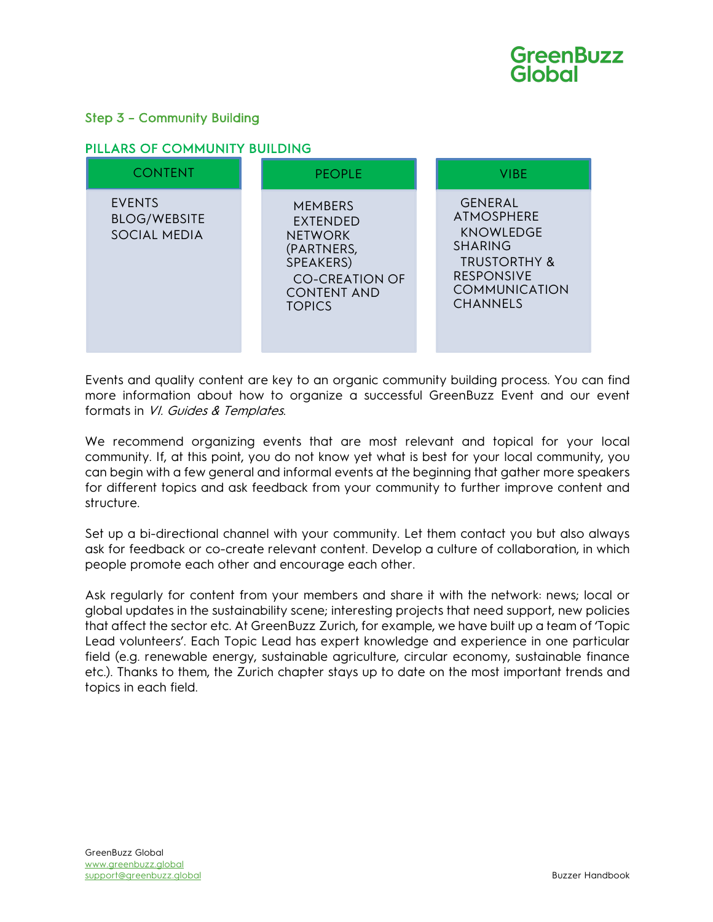#### Step 3 – Community Building

#### PILLARS OF COMMUNITY BUILDING

| <b>CONTENT</b>                                       | <b>PEOPLE</b>                                                                                                                           | <b>VIBE</b>                                                                                                                                                          |
|------------------------------------------------------|-----------------------------------------------------------------------------------------------------------------------------------------|----------------------------------------------------------------------------------------------------------------------------------------------------------------------|
| <b>EVENTS</b><br><b>BLOG/WEBSITE</b><br>SOCIAL MEDIA | <b>MEMBERS</b><br>EXTENDED<br><b>NETWORK</b><br>(PARTNERS,<br>SPEAKERS)<br><b>CO-CREATION OF</b><br><b>CONTENT AND</b><br><b>TOPICS</b> | <b>GENERAL</b><br><b>ATMOSPHERE</b><br><b>KNOWLEDGE</b><br><b>SHARING</b><br><b>TRUSTORTHY &amp;</b><br><b>RESPONSIVE</b><br><b>COMMUNICATION</b><br><b>CHANNELS</b> |

Events and quality content are key to an organic community building process. You can find more information about how to organize a successful GreenBuzz Event and our event formats in VI. Guides & Templates.

We recommend organizing events that are most relevant and topical for your local community. If, at this point, you do not know yet what is best for your local community, you can begin with a few general and informal events at the beginning that gather more speakers for different topics and ask feedback from your community to further improve content and structure.

Set up a bi-directional channel with your community. Let them contact you but also always ask for feedback or co-create relevant content. Develop a culture of collaboration, in which people promote each other and encourage each other.

Ask regularly for content from your members and share it with the network: news; local or global updates in the sustainability scene; interesting projects that need support, new policies that affect the sector etc. At GreenBuzz Zurich, for example, we have built up a team of 'Topic Lead volunteers'. Each Topic Lead has expert knowledge and experience in one particular field (e.g. renewable energy, sustainable agriculture, circular economy, sustainable finance etc.). Thanks to them, the Zurich chapter stays up to date on the most important trends and topics in each field.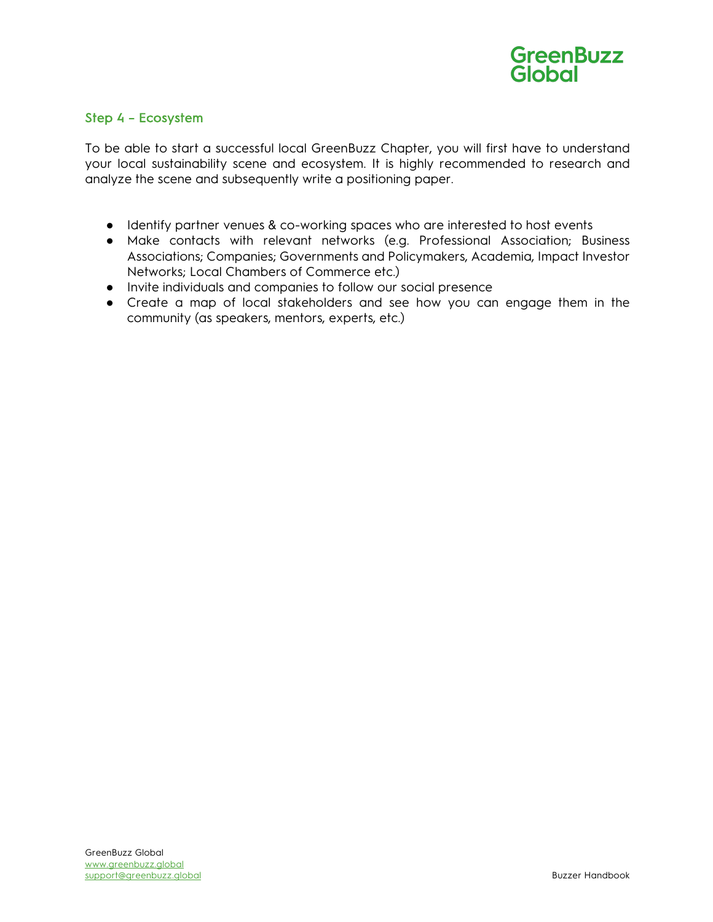

#### Step 4 – Ecosystem

To be able to start a successful local GreenBuzz Chapter, you will first have to understand your local sustainability scene and ecosystem. It is highly recommended to research and analyze the scene and subsequently write a positioning paper.

- Identify partner venues & co-working spaces who are interested to host events
- Make contacts with relevant networks (e.g. Professional Association; Business Associations; Companies; Governments and Policymakers, Academia, Impact Investor Networks; Local Chambers of Commerce etc.)
- Invite individuals and companies to follow our social presence
- Create a map of local stakeholders and see how you can engage them in the community (as speakers, mentors, experts, etc.)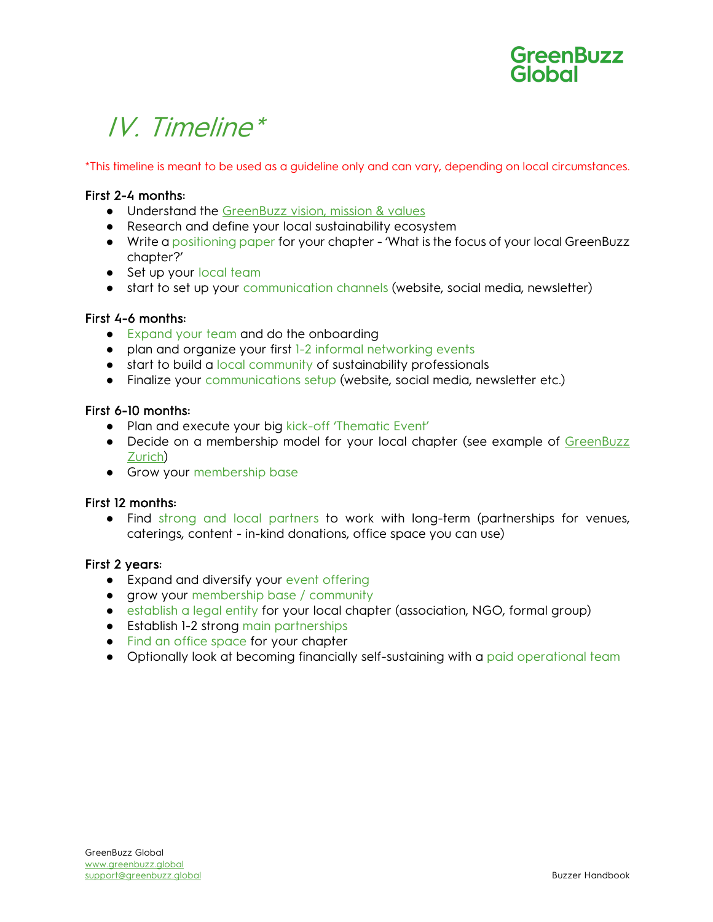## IV. Timeline\*

\*This timeline is meant to be used as a guideline only and can vary, depending on local circumstances.

#### First 2-4 months:

- Understand the GreenBuzz vision, mission & values
- Research and define your local sustainability ecosystem
- Write a positioning paper for your chapter 'What is the focus of your local GreenBuzz chapter?'
- Set up your local team
- start to set up your communication channels (website, social media, newsletter)

#### First 4-6 months:

- Expand your team and do the onboarding
- plan and organize your first 1-2 informal networking events
- start to build a local community of sustainability professionals
- Finalize your communications setup (website, social media, newsletter etc.)

#### First 6-10 months:

- Plan and execute your big kick-off 'Thematic Event'
- Decide on a membership model for your local chapter (see example of GreenBuzz Zurich)
- **•** Grow your membership base

#### First 12 months:

● Find strong and local partners to work with long-term (partnerships for venues, caterings, content - in-kind donations, office space you can use)

#### First 2 years:

- Expand and diversify your event offering
- grow your membership base / community
- establish a legal entity for your local chapter (association, NGO, formal group)
- Establish 1-2 strong main partnerships
- Find an office space for your chapter
- Optionally look at becoming financially self-sustaining with a paid operational team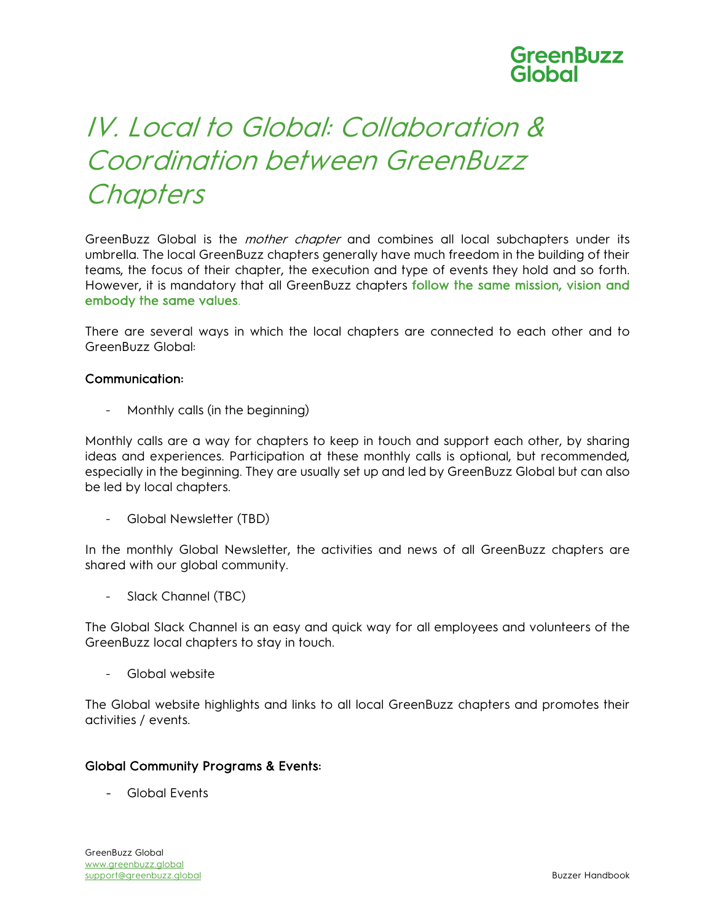## IV. Local to Global: Collaboration & Coordination between GreenBuzz **Chapters**

GreenBuzz Global is the *mother chapter* and combines all local subchapters under its umbrella. The local GreenBuzz chapters generally have much freedom in the building of their teams, the focus of their chapter, the execution and type of events they hold and so forth. However, it is mandatory that all GreenBuzz chapters follow the same mission, vision and embody the same values.

There are several ways in which the local chapters are connected to each other and to GreenBuzz Global:

#### Communication:

- Monthly calls (in the beginning)

Monthly calls are a way for chapters to keep in touch and support each other, by sharing ideas and experiences. Participation at these monthly calls is optional, but recommended, especially in the beginning. They are usually set up and led by GreenBuzz Global but can also be led by local chapters.

- Global Newsletter (TBD)

In the monthly Global Newsletter, the activities and news of all GreenBuzz chapters are shared with our global community.

- Slack Channel (TBC)

The Global Slack Channel is an easy and quick way for all employees and volunteers of the GreenBuzz local chapters to stay in touch.

- Global website

The Global website highlights and links to all local GreenBuzz chapters and promotes their activities / events.

#### Global Community Programs & Events:

- Global Events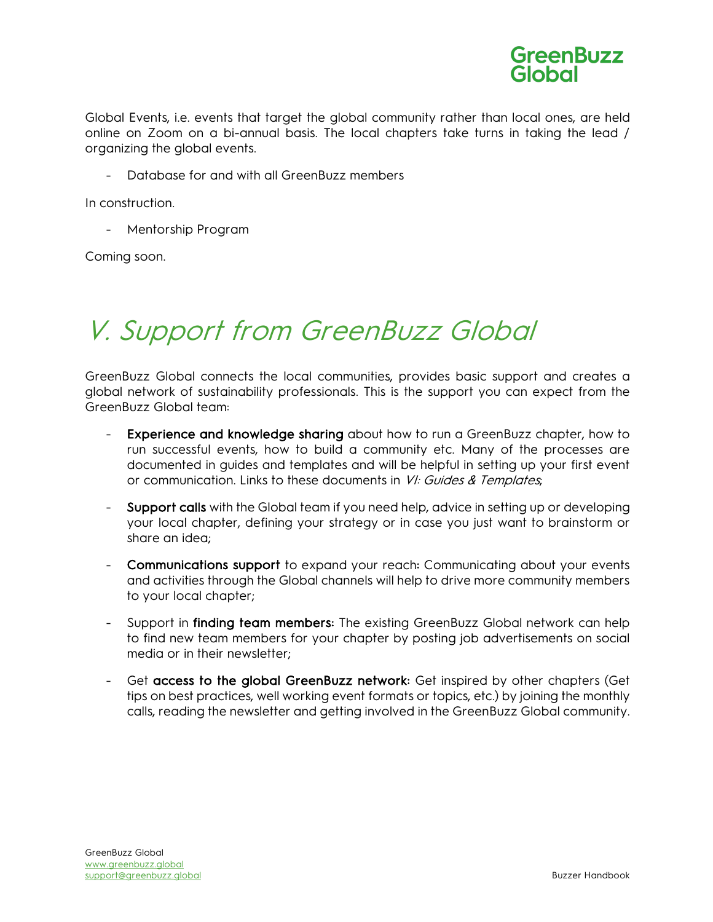

Global Events, i.e. events that target the global community rather than local ones, are held online on Zoom on a bi-annual basis. The local chapters take turns in taking the lead / organizing the global events.

- Database for and with all GreenBuzz members

In construction.

- Mentorship Program

Coming soon.

## V. Support from GreenBuzz Global

GreenBuzz Global connects the local communities, provides basic support and creates a global network of sustainability professionals. This is the support you can expect from the GreenBuzz Global team:

- Experience and knowledge sharing about how to run a GreenBuzz chapter, how to run successful events, how to build a community etc. Many of the processes are documented in guides and templates and will be helpful in setting up your first event or communication. Links to these documents in VI: Guides & Templates;
- Support calls with the Global team if you need help, advice in setting up or developing your local chapter, defining your strategy or in case you just want to brainstorm or share an idea;
- Communications support to expand your reach: Communicating about your events and activities through the Global channels will help to drive more community members to your local chapter;
- Support in finding team members: The existing GreenBuzz Global network can help to find new team members for your chapter by posting job advertisements on social media or in their newsletter;
- Get access to the global GreenBuzz network: Get inspired by other chapters (Get tips on best practices, well working event formats or topics, etc.) by joining the monthly calls, reading the newsletter and getting involved in the GreenBuzz Global community.